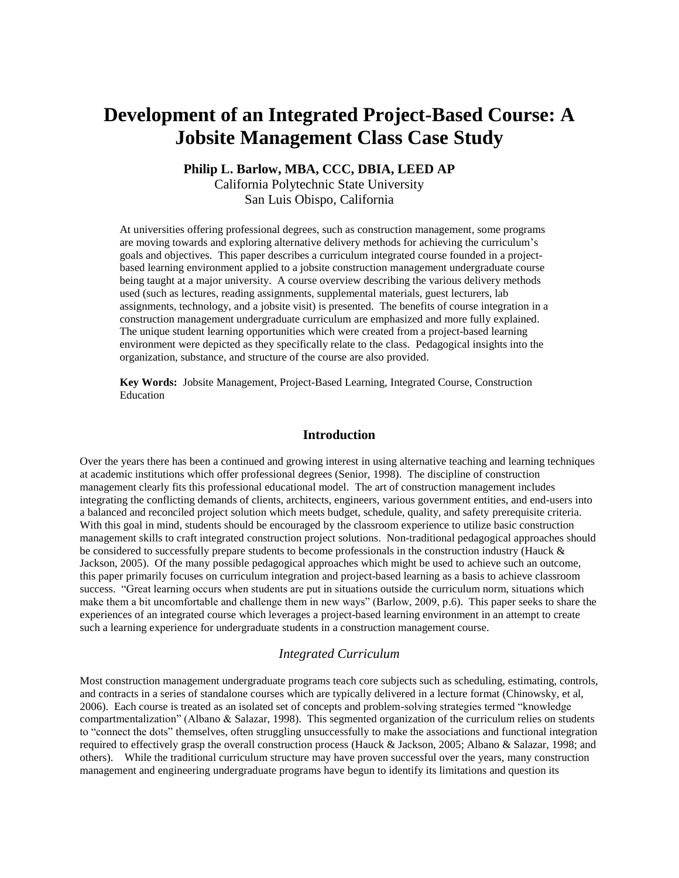# **Development of an Integrated Project-Based Course: A Jobsite Management Class Case Study**

#### **Philip L. Barlow, MBA, CCC, DBIA, LEED AP**

California Polytechnic State University San Luis Obispo, California

At universities offering professional degrees, such as construction management, some programs are moving towards and exploring alternative delivery methods for achieving the curriculum's goals and objectives. This paper describes a curriculum integrated course founded in a projectbased learning environment applied to a jobsite construction management undergraduate course being taught at a major university. A course overview describing the various delivery methods used (such as lectures, reading assignments, supplemental materials, guest lecturers, lab assignments, technology, and a jobsite visit) is presented. The benefits of course integration in a construction management undergraduate curriculum are emphasized and more fully explained. The unique student learning opportunities which were created from a project-based learning environment were depicted as they specifically relate to the class. Pedagogical insights into the organization, substance, and structure of the course are also provided.

**Key Words:** Jobsite Management, Project-Based Learning, Integrated Course, Construction Education

#### **Introduction**

Over the years there has been a continued and growing interest in using alternative teaching and learning techniques at academic institutions which offer professional degrees (Senior, 1998). The discipline of construction management clearly fits this professional educational model. The art of construction management includes integrating the conflicting demands of clients, architects, engineers, various government entities, and end-users into a balanced and reconciled project solution which meets budget, schedule, quality, and safety prerequisite criteria. With this goal in mind, students should be encouraged by the classroom experience to utilize basic construction management skills to craft integrated construction project solutions. Non-traditional pedagogical approaches should be considered to successfully prepare students to become professionals in the construction industry (Hauck & Jackson, 2005). Of the many possible pedagogical approaches which might be used to achieve such an outcome, this paper primarily focuses on curriculum integration and project-based learning as a basis to achieve classroom success. "Great learning occurs when students are put in situations outside the curriculum norm, situations which make them a bit uncomfortable and challenge them in new ways" (Barlow, 2009, p.6). This paper seeks to share the experiences of an integrated course which leverages a project-based learning environment in an attempt to create such a learning experience for undergraduate students in a construction management course.

#### *Integrated Curriculum*

Most construction management undergraduate programs teach core subjects such as scheduling, estimating, controls, and contracts in a series of standalone courses which are typically delivered in a lecture format (Chinowsky, et al, 2006). Each course is treated as an isolated set of concepts and problem-solving strategies termed "knowledge compartmentalization" (Albano & Salazar, 1998). This segmented organization of the curriculum relies on students to "connect the dots" themselves, often struggling unsuccessfully to make the associations and functional integration required to effectively grasp the overall construction process (Hauck & Jackson, 2005; Albano & Salazar, 1998; and others). While the traditional curriculum structure may have proven successful over the years, many construction management and engineering undergraduate programs have begun to identify its limitations and question its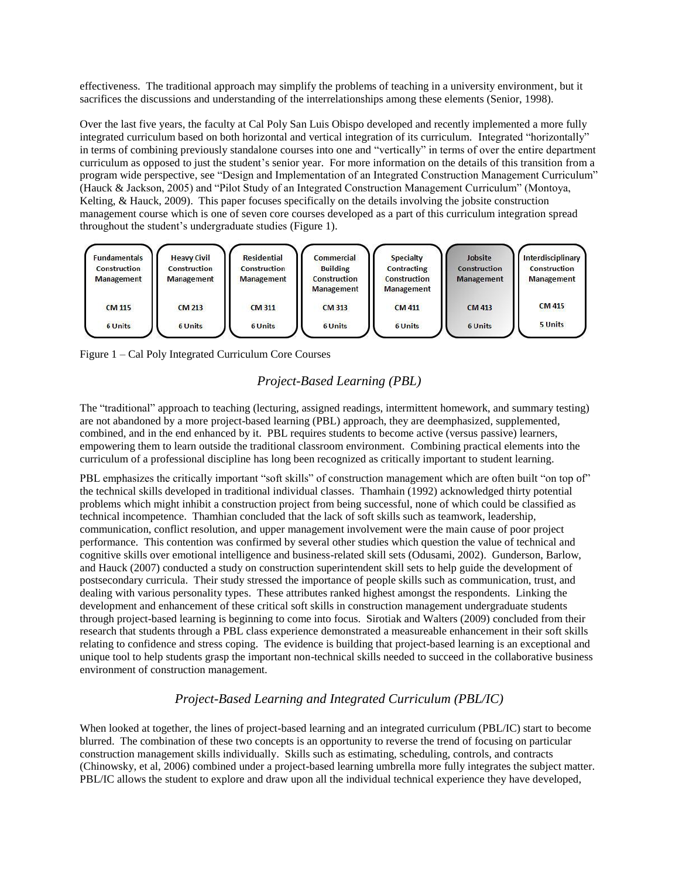effectiveness. The traditional approach may simplify the problems of teaching in a university environment, but it sacrifices the discussions and understanding of the interrelationships among these elements (Senior, 1998).

Over the last five years, the faculty at Cal Poly San Luis Obispo developed and recently implemented a more fully integrated curriculum based on both horizontal and vertical integration of its curriculum. Integrated "horizontally" in terms of combining previously standalone courses into one and "vertically" in terms of over the entire department curriculum as opposed to just the student's senior year. For more information on the details of this transition from a program wide perspective, see "Design and Implementation of an Integrated Construction Management Curriculum" (Hauck & Jackson, 2005) and "Pilot Study of an Integrated Construction Management Curriculum" (Montoya, Kelting, & Hauck, 2009). This paper focuses specifically on the details involving the jobsite construction management course which is one of seven core courses developed as a part of this curriculum integration spread throughout the student's undergraduate studies (Figure 1).



Figure 1 – Cal Poly Integrated Curriculum Core Courses

## *Project-Based Learning (PBL)*

The "traditional" approach to teaching (lecturing, assigned readings, intermittent homework, and summary testing) are not abandoned by a more project-based learning (PBL) approach, they are deemphasized, supplemented, combined, and in the end enhanced by it. PBL requires students to become active (versus passive) learners, empowering them to learn outside the traditional classroom environment. Combining practical elements into the curriculum of a professional discipline has long been recognized as critically important to student learning.

PBL emphasizes the critically important "soft skills" of construction management which are often built "on top of" the technical skills developed in traditional individual classes. Thamhain (1992) acknowledged thirty potential problems which might inhibit a construction project from being successful, none of which could be classified as technical incompetence. Thamhian concluded that the lack of soft skills such as teamwork, leadership, communication, conflict resolution, and upper management involvement were the main cause of poor project performance. This contention was confirmed by several other studies which question the value of technical and cognitive skills over emotional intelligence and business-related skill sets (Odusami, 2002). Gunderson, Barlow, and Hauck (2007) conducted a study on construction superintendent skill sets to help guide the development of postsecondary curricula. Their study stressed the importance of people skills such as communication, trust, and dealing with various personality types. These attributes ranked highest amongst the respondents. Linking the development and enhancement of these critical soft skills in construction management undergraduate students through project-based learning is beginning to come into focus. Sirotiak and Walters (2009) concluded from their research that students through a PBL class experience demonstrated a measureable enhancement in their soft skills relating to confidence and stress coping. The evidence is building that project-based learning is an exceptional and unique tool to help students grasp the important non-technical skills needed to succeed in the collaborative business environment of construction management.

## *Project-Based Learning and Integrated Curriculum (PBL/IC)*

When looked at together, the lines of project-based learning and an integrated curriculum (PBL/IC) start to become blurred. The combination of these two concepts is an opportunity to reverse the trend of focusing on particular construction management skills individually. Skills such as estimating, scheduling, controls, and contracts (Chinowsky, et al, 2006) combined under a project-based learning umbrella more fully integrates the subject matter. PBL/IC allows the student to explore and draw upon all the individual technical experience they have developed,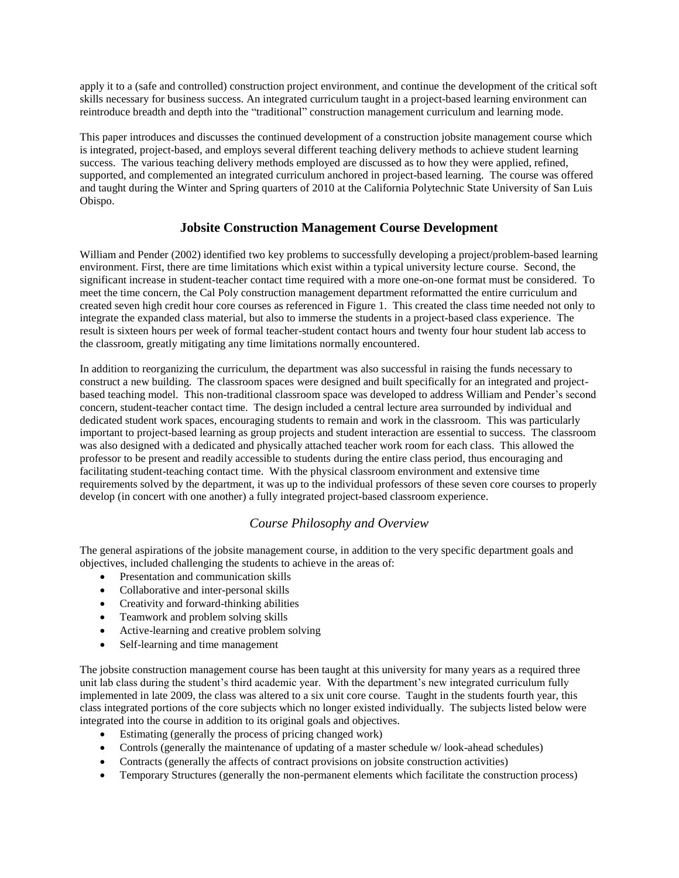apply it to a (safe and controlled) construction project environment, and continue the development of the critical soft skills necessary for business success. An integrated curriculum taught in a project-based learning environment can reintroduce breadth and depth into the "traditional" construction management curriculum and learning mode.

This paper introduces and discusses the continued development of a construction jobsite management course which is integrated, project-based, and employs several different teaching delivery methods to achieve student learning success. The various teaching delivery methods employed are discussed as to how they were applied, refined, supported, and complemented an integrated curriculum anchored in project-based learning. The course was offered and taught during the Winter and Spring quarters of 2010 at the California Polytechnic State University of San Luis Obispo.

## **Jobsite Construction Management Course Development**

William and Pender (2002) identified two key problems to successfully developing a project/problem-based learning environment. First, there are time limitations which exist within a typical university lecture course. Second, the significant increase in student-teacher contact time required with a more one-on-one format must be considered. To meet the time concern, the Cal Poly construction management department reformatted the entire curriculum and created seven high credit hour core courses as referenced in Figure 1. This created the class time needed not only to integrate the expanded class material, but also to immerse the students in a project-based class experience. The result is sixteen hours per week of formal teacher-student contact hours and twenty four hour student lab access to the classroom, greatly mitigating any time limitations normally encountered.

In addition to reorganizing the curriculum, the department was also successful in raising the funds necessary to construct a new building. The classroom spaces were designed and built specifically for an integrated and projectbased teaching model. This non-traditional classroom space was developed to address William and Pender's second concern, student-teacher contact time. The design included a central lecture area surrounded by individual and dedicated student work spaces, encouraging students to remain and work in the classroom. This was particularly important to project-based learning as group projects and student interaction are essential to success. The classroom was also designed with a dedicated and physically attached teacher work room for each class. This allowed the professor to be present and readily accessible to students during the entire class period, thus encouraging and facilitating student-teaching contact time. With the physical classroom environment and extensive time requirements solved by the department, it was up to the individual professors of these seven core courses to properly develop (in concert with one another) a fully integrated project-based classroom experience.

## *Course Philosophy and Overview*

The general aspirations of the jobsite management course, in addition to the very specific department goals and objectives, included challenging the students to achieve in the areas of:

- Presentation and communication skills
- Collaborative and inter-personal skills
- Creativity and forward-thinking abilities
- Teamwork and problem solving skills
- Active-learning and creative problem solving
- Self-learning and time management

The jobsite construction management course has been taught at this university for many years as a required three unit lab class during the student's third academic year. With the department's new integrated curriculum fully implemented in late 2009, the class was altered to a six unit core course. Taught in the students fourth year, this class integrated portions of the core subjects which no longer existed individually. The subjects listed below were integrated into the course in addition to its original goals and objectives.

- Estimating (generally the process of pricing changed work)
- Controls (generally the maintenance of updating of a master schedule w/ look-ahead schedules)
- Contracts (generally the affects of contract provisions on jobsite construction activities)
- Temporary Structures (generally the non-permanent elements which facilitate the construction process)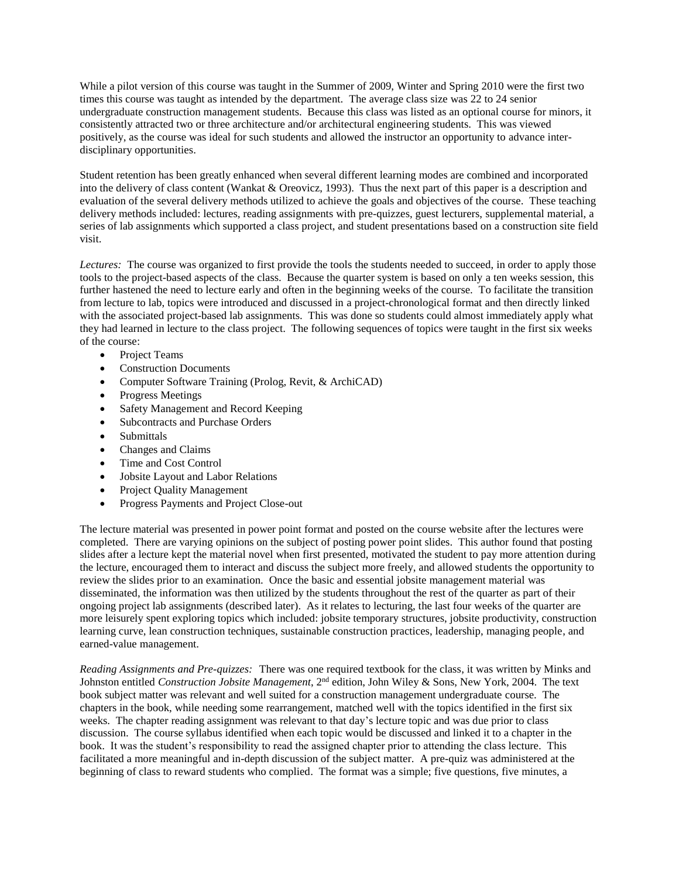While a pilot version of this course was taught in the Summer of 2009, Winter and Spring 2010 were the first two times this course was taught as intended by the department. The average class size was 22 to 24 senior undergraduate construction management students. Because this class was listed as an optional course for minors, it consistently attracted two or three architecture and/or architectural engineering students. This was viewed positively, as the course was ideal for such students and allowed the instructor an opportunity to advance interdisciplinary opportunities.

Student retention has been greatly enhanced when several different learning modes are combined and incorporated into the delivery of class content (Wankat & Oreovicz, 1993). Thus the next part of this paper is a description and evaluation of the several delivery methods utilized to achieve the goals and objectives of the course. These teaching delivery methods included: lectures, reading assignments with pre-quizzes, guest lecturers, supplemental material, a series of lab assignments which supported a class project, and student presentations based on a construction site field visit.

*Lectures:* The course was organized to first provide the tools the students needed to succeed, in order to apply those tools to the project-based aspects of the class. Because the quarter system is based on only a ten weeks session, this further hastened the need to lecture early and often in the beginning weeks of the course. To facilitate the transition from lecture to lab, topics were introduced and discussed in a project-chronological format and then directly linked with the associated project-based lab assignments. This was done so students could almost immediately apply what they had learned in lecture to the class project. The following sequences of topics were taught in the first six weeks of the course:

- Project Teams
- Construction Documents
- Computer Software Training (Prolog, Revit, & ArchiCAD)
- Progress Meetings
- Safety Management and Record Keeping
- Subcontracts and Purchase Orders
- Submittals
- Changes and Claims
- Time and Cost Control
- Jobsite Layout and Labor Relations
- Project Quality Management
- Progress Payments and Project Close-out

The lecture material was presented in power point format and posted on the course website after the lectures were completed. There are varying opinions on the subject of posting power point slides. This author found that posting slides after a lecture kept the material novel when first presented, motivated the student to pay more attention during the lecture, encouraged them to interact and discuss the subject more freely, and allowed students the opportunity to review the slides prior to an examination. Once the basic and essential jobsite management material was disseminated, the information was then utilized by the students throughout the rest of the quarter as part of their ongoing project lab assignments (described later). As it relates to lecturing, the last four weeks of the quarter are more leisurely spent exploring topics which included: jobsite temporary structures, jobsite productivity, construction learning curve, lean construction techniques, sustainable construction practices, leadership, managing people, and earned-value management.

*Reading Assignments and Pre-quizzes:* There was one required textbook for the class, it was written by Minks and Johnston entitled *Construction Jobsite Management*, 2nd edition, John Wiley & Sons, New York, 2004. The text book subject matter was relevant and well suited for a construction management undergraduate course. The chapters in the book, while needing some rearrangement, matched well with the topics identified in the first six weeks. The chapter reading assignment was relevant to that day's lecture topic and was due prior to class discussion. The course syllabus identified when each topic would be discussed and linked it to a chapter in the book. It was the student's responsibility to read the assigned chapter prior to attending the class lecture. This facilitated a more meaningful and in-depth discussion of the subject matter. A pre-quiz was administered at the beginning of class to reward students who complied. The format was a simple; five questions, five minutes, a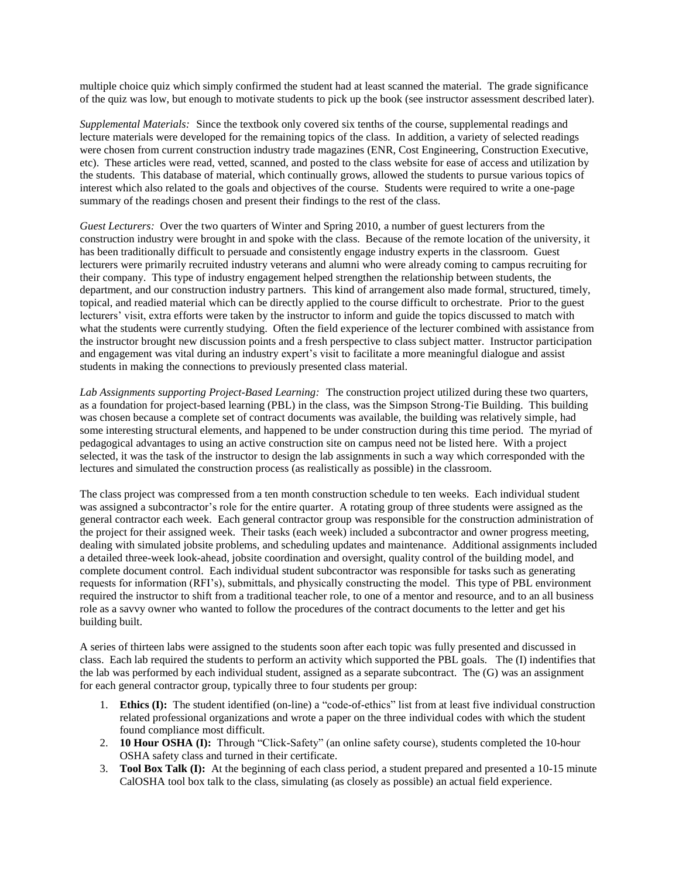multiple choice quiz which simply confirmed the student had at least scanned the material. The grade significance of the quiz was low, but enough to motivate students to pick up the book (see instructor assessment described later).

*Supplemental Materials:* Since the textbook only covered six tenths of the course, supplemental readings and lecture materials were developed for the remaining topics of the class. In addition, a variety of selected readings were chosen from current construction industry trade magazines (ENR, Cost Engineering, Construction Executive, etc). These articles were read, vetted, scanned, and posted to the class website for ease of access and utilization by the students. This database of material, which continually grows, allowed the students to pursue various topics of interest which also related to the goals and objectives of the course. Students were required to write a one-page summary of the readings chosen and present their findings to the rest of the class.

*Guest Lecturers:* Over the two quarters of Winter and Spring 2010, a number of guest lecturers from the construction industry were brought in and spoke with the class. Because of the remote location of the university, it has been traditionally difficult to persuade and consistently engage industry experts in the classroom. Guest lecturers were primarily recruited industry veterans and alumni who were already coming to campus recruiting for their company. This type of industry engagement helped strengthen the relationship between students, the department, and our construction industry partners. This kind of arrangement also made formal, structured, timely, topical, and readied material which can be directly applied to the course difficult to orchestrate. Prior to the guest lecturers' visit, extra efforts were taken by the instructor to inform and guide the topics discussed to match with what the students were currently studying. Often the field experience of the lecturer combined with assistance from the instructor brought new discussion points and a fresh perspective to class subject matter. Instructor participation and engagement was vital during an industry expert's visit to facilitate a more meaningful dialogue and assist students in making the connections to previously presented class material.

*Lab Assignments supporting Project-Based Learning:* The construction project utilized during these two quarters, as a foundation for project-based learning (PBL) in the class, was the Simpson Strong-Tie Building. This building was chosen because a complete set of contract documents was available, the building was relatively simple, had some interesting structural elements, and happened to be under construction during this time period. The myriad of pedagogical advantages to using an active construction site on campus need not be listed here. With a project selected, it was the task of the instructor to design the lab assignments in such a way which corresponded with the lectures and simulated the construction process (as realistically as possible) in the classroom.

The class project was compressed from a ten month construction schedule to ten weeks. Each individual student was assigned a subcontractor's role for the entire quarter. A rotating group of three students were assigned as the general contractor each week. Each general contractor group was responsible for the construction administration of the project for their assigned week. Their tasks (each week) included a subcontractor and owner progress meeting, dealing with simulated jobsite problems, and scheduling updates and maintenance. Additional assignments included a detailed three-week look-ahead, jobsite coordination and oversight, quality control of the building model, and complete document control. Each individual student subcontractor was responsible for tasks such as generating requests for information (RFI's), submittals, and physically constructing the model. This type of PBL environment required the instructor to shift from a traditional teacher role, to one of a mentor and resource, and to an all business role as a savvy owner who wanted to follow the procedures of the contract documents to the letter and get his building built.

A series of thirteen labs were assigned to the students soon after each topic was fully presented and discussed in class. Each lab required the students to perform an activity which supported the PBL goals. The (I) indentifies that the lab was performed by each individual student, assigned as a separate subcontract. The (G) was an assignment for each general contractor group, typically three to four students per group:

- 1. **Ethics (I):** The student identified (on-line) a "code-of-ethics" list from at least five individual construction related professional organizations and wrote a paper on the three individual codes with which the student found compliance most difficult.
- 2. **10 Hour OSHA (I):** Through "Click-Safety" (an online safety course), students completed the 10-hour OSHA safety class and turned in their certificate.
- 3. **Tool Box Talk (I):** At the beginning of each class period, a student prepared and presented a 10-15 minute CalOSHA tool box talk to the class, simulating (as closely as possible) an actual field experience.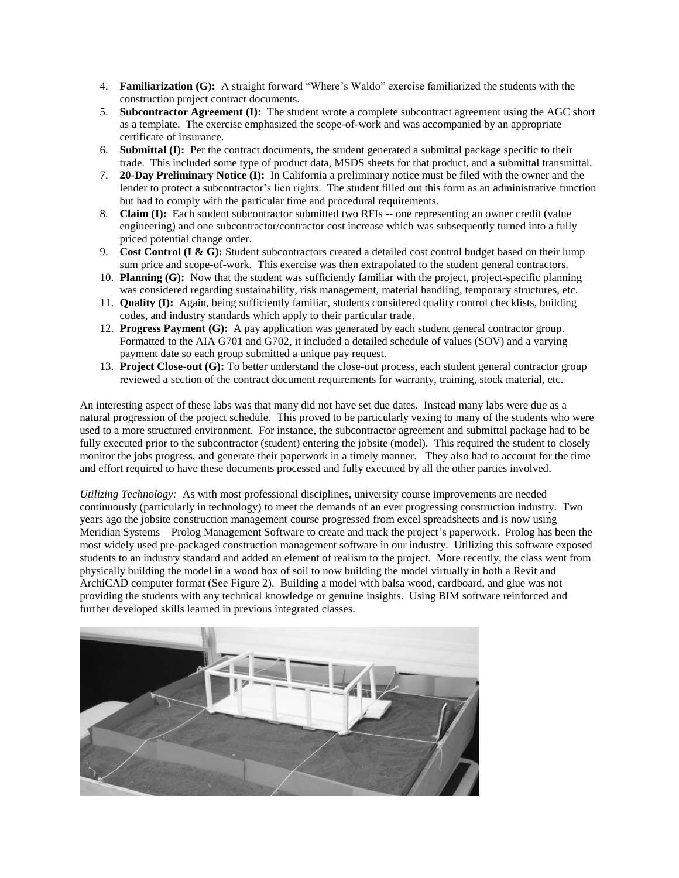- 4. **Familiarization (G):** A straight forward "Where's Waldo" exercise familiarized the students with the construction project contract documents.
- 5. **Subcontractor Agreement (I):** The student wrote a complete subcontract agreement using the AGC short as a template. The exercise emphasized the scope-of-work and was accompanied by an appropriate certificate of insurance.
- 6. **Submittal (I):** Per the contract documents, the student generated a submittal package specific to their trade. This included some type of product data, MSDS sheets for that product, and a submittal transmittal.
- 7. **20-Day Preliminary Notice (I):** In California a preliminary notice must be filed with the owner and the lender to protect a subcontractor's lien rights. The student filled out this form as an administrative function but had to comply with the particular time and procedural requirements.
- 8. **Claim (I):** Each student subcontractor submitted two RFIs -- one representing an owner credit (value engineering) and one subcontractor/contractor cost increase which was subsequently turned into a fully priced potential change order.
- 9. **Cost Control (I & G):** Student subcontractors created a detailed cost control budget based on their lump sum price and scope-of-work. This exercise was then extrapolated to the student general contractors.
- 10. **Planning (G):** Now that the student was sufficiently familiar with the project, project-specific planning was considered regarding sustainability, risk management, material handling, temporary structures, etc.
- 11. **Quality (I):** Again, being sufficiently familiar, students considered quality control checklists, building codes, and industry standards which apply to their particular trade.
- 12. **Progress Payment (G):** A pay application was generated by each student general contractor group. Formatted to the AIA G701 and G702, it included a detailed schedule of values (SOV) and a varying payment date so each group submitted a unique pay request.
- 13. **Project Close-out (G):** To better understand the close-out process, each student general contractor group reviewed a section of the contract document requirements for warranty, training, stock material, etc.

An interesting aspect of these labs was that many did not have set due dates. Instead many labs were due as a natural progression of the project schedule. This proved to be particularly vexing to many of the students who were used to a more structured environment. For instance, the subcontractor agreement and submittal package had to be fully executed prior to the subcontractor (student) entering the jobsite (model). This required the student to closely monitor the jobs progress, and generate their paperwork in a timely manner. They also had to account for the time and effort required to have these documents processed and fully executed by all the other parties involved.

*Utilizing Technology:* As with most professional disciplines, university course improvements are needed continuously (particularly in technology) to meet the demands of an ever progressing construction industry. Two years ago the jobsite construction management course progressed from excel spreadsheets and is now using Meridian Systems – Prolog Management Software to create and track the project's paperwork. Prolog has been the most widely used pre-packaged construction management software in our industry. Utilizing this software exposed students to an industry standard and added an element of realism to the project. More recently, the class went from physically building the model in a wood box of soil to now building the model virtually in both a Revit and ArchiCAD computer format (See Figure 2). Building a model with balsa wood, cardboard, and glue was not providing the students with any technical knowledge or genuine insights. Using BIM software reinforced and further developed skills learned in previous integrated classes.

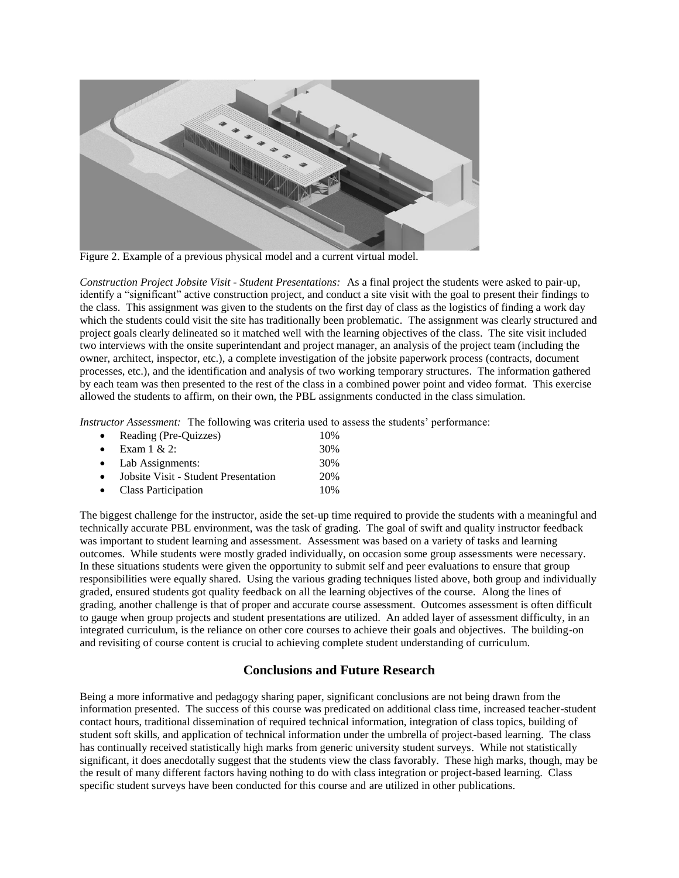

Figure 2. Example of a previous physical model and a current virtual model.

*Construction Project Jobsite Visit - Student Presentations:* As a final project the students were asked to pair-up, identify a "significant" active construction project, and conduct a site visit with the goal to present their findings to the class. This assignment was given to the students on the first day of class as the logistics of finding a work day which the students could visit the site has traditionally been problematic. The assignment was clearly structured and project goals clearly delineated so it matched well with the learning objectives of the class. The site visit included two interviews with the onsite superintendant and project manager, an analysis of the project team (including the owner, architect, inspector, etc.), a complete investigation of the jobsite paperwork process (contracts, document processes, etc.), and the identification and analysis of two working temporary structures. The information gathered by each team was then presented to the rest of the class in a combined power point and video format. This exercise allowed the students to affirm, on their own, the PBL assignments conducted in the class simulation.

*Instructor Assessment:* The following was criteria used to assess the students' performance:

| $\bullet$ | Reading (Pre-Quizzes)                | 10% |
|-----------|--------------------------------------|-----|
| $\bullet$ | Exam $1 \& 2$ :                      | 30% |
|           | • Lab Assignments:                   | 30% |
| $\bullet$ | Jobsite Visit - Student Presentation | 20% |
|           | • Class Participation                | 10% |

The biggest challenge for the instructor, aside the set-up time required to provide the students with a meaningful and technically accurate PBL environment, was the task of grading. The goal of swift and quality instructor feedback was important to student learning and assessment. Assessment was based on a variety of tasks and learning outcomes. While students were mostly graded individually, on occasion some group assessments were necessary. In these situations students were given the opportunity to submit self and peer evaluations to ensure that group responsibilities were equally shared. Using the various grading techniques listed above, both group and individually graded, ensured students got quality feedback on all the learning objectives of the course. Along the lines of grading, another challenge is that of proper and accurate course assessment. Outcomes assessment is often difficult to gauge when group projects and student presentations are utilized. An added layer of assessment difficulty, in an integrated curriculum, is the reliance on other core courses to achieve their goals and objectives. The building-on and revisiting of course content is crucial to achieving complete student understanding of curriculum.

## **Conclusions and Future Research**

Being a more informative and pedagogy sharing paper, significant conclusions are not being drawn from the information presented. The success of this course was predicated on additional class time, increased teacher-student contact hours, traditional dissemination of required technical information, integration of class topics, building of student soft skills, and application of technical information under the umbrella of project-based learning. The class has continually received statistically high marks from generic university student surveys. While not statistically significant, it does anecdotally suggest that the students view the class favorably. These high marks, though, may be the result of many different factors having nothing to do with class integration or project-based learning. Class specific student surveys have been conducted for this course and are utilized in other publications.